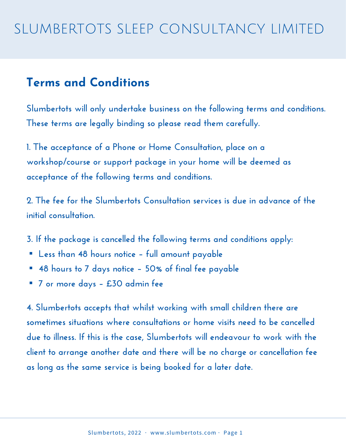#### **Terms and Conditions**

**Slumbertots will only undertake business on the following terms and conditions. These terms are legally binding so please read them carefully.**

**1. The acceptance of a Phone or Home Consultation, place on a workshop/course or support package in your home will be deemed as acceptance of the following terms and conditions.**

**2. The fee for the Slumbertots Consultation services is due in advance of the initial consultation.**

- **3. If the package is cancelled the following terms and conditions apply:** ▪
- **Less than 48 hours notice – full amount payable** ▪
- **48 hours to 7 days notice – 50% of final fee payable** ▪
- **7 or more days – £30 admin fee**

**4. Slumbertots accepts that whilst working with small children there are sometimes situations where consultations or home visits need to be cancelled due to illness. If this is the case, Slumbertots will endeavour to work with the client to arrange another date and there will be no charge or cancellation fee as long as the same service is being booked for a later date.**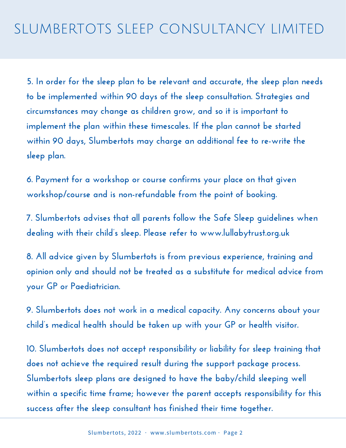**5. In order for the sleep plan to be relevant and accurate, the sleep plan needs to be implemented within 90 days of the sleep consultation. Strategies and circumstances may change as children grow, and so it is important to implement the plan within these timescales. If the plan cannot be started within 90 days, Slumbertots may charge an additional fee to re-write the sleep plan.**

**6. Payment for a workshop or course confirms your place on that given workshop/course and is non-refundable from the point of booking.**

**7. Slumbertots advises that all parents follow the Safe Sleep guidelines when dealing with their child's sleep. Please refer to www.lullabytrust.org.uk**

**8. All advice given by Slumbertots is from previous experience, training and opinion only and should not be treated as a substitute for medical advice from your GP or Paediatrician.**

**9. Slumbertots does not work in a medical capacity. Any concerns about your child's medical health should be taken up with your GP or health visitor.**

**10. Slumbertots does not accept responsibility or liability for sleep training that does not achieve the required result during the support package process. Slumbertots sleep plans are designed to have the baby/child sleeping well within a specific time frame; however the parent accepts responsibility for this success after the sleep consultant has finished their time together.**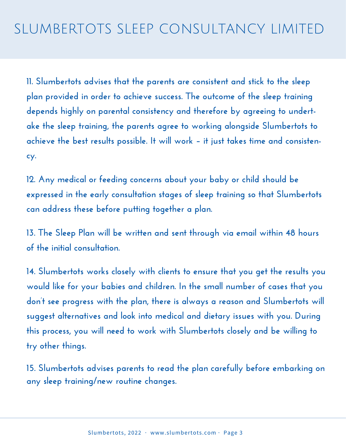**11. Slumbertots advises that the parents are consistent and stick to the sleep plan provided in order to achieve success. The outcome of the sleep training depends highly on parental consistency and therefore by agreeing to undertake the sleep training, the parents agree to working alongside Slumbertots to achieve the best results possible. It will work – it just takes time and consistency.**

**12. Any medical or feeding concerns about your baby or child should be expressed in the early consultation stages of sleep training so that Slumbertots can address these before putting together a plan.**

**13. The Sleep Plan will be written and sent through via email within 48 hours of the initial consultation.**

**14. Slumbertots works closely with clients to ensure that you get the results you would like for your babies and children. In the small number of cases that you don't see progress with the plan, there is always a reason and Slumbertots will suggest alternatives and look into medical and dietary issues with you. During this process, you will need to work with Slumbertots closely and be willing to try other things.**

**15. Slumbertots advises parents to read the plan carefully before embarking on any sleep training/new routine changes.**